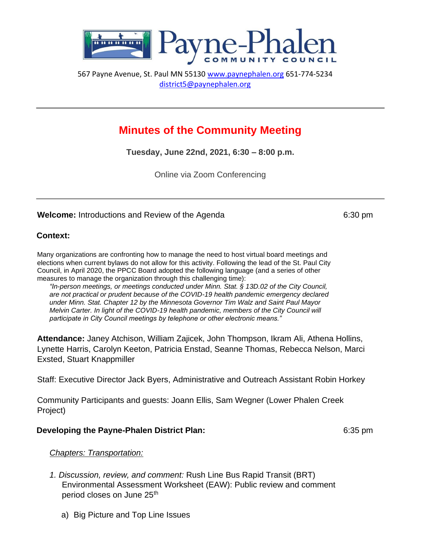

567 Payne Avenue, St. Paul MN 55130 [www.paynephalen.org](http://www.paynephalen.org/) [6](http://www.paynephalen.org/)51-774-5234 district5@paynephalen.org

# **Minutes of the Community Meeting**

**Tuesday, June 22nd, 2021, 6:30 – 8:00 p.m.** 

Online via Zoom Conferencing

### **Welcome:** Introductions and Review of the Agenda 6:30 pm

### **Context:**

Many organizations are confronting how to manage the need to host virtual board meetings and elections when current bylaws do not allow for this activity. Following the lead of the St. Paul City Council, in April 2020, the PPCC Board adopted the following language (and a series of other measures to manage the organization through this challenging time):

*"In-person meetings, or meetings conducted under Minn. Stat. § 13D.02 of the City Council, are not practical or prudent because of the COVID-19 health pandemic emergency declared under Minn. Stat. Chapter 12 by the Minnesota Governor Tim Walz and Saint Paul Mayor Melvin Carter. In light of the COVID-19 health pandemic, members of the City Council will participate in City Council meetings by telephone or other electronic means."* 

**Attendance:** Janey Atchison, William Zajicek, John Thompson, Ikram Ali, Athena Hollins, Lynette Harris, Carolyn Keeton, Patricia Enstad, Seanne Thomas, Rebecca Nelson, Marci Exsted, Stuart Knappmiller

Staff: Executive Director Jack Byers, Administrative and Outreach Assistant Robin Horkey

Community Participants and guests: Joann Ellis, Sam Wegner (Lower Phalen Creek Project)

### **Developing the Payne-Phalen District Plan: CESS DEVELOPED** 6:35 pm

### *Chapters: Transportation:*

- *1. Discussion, review, and comment:* Rush Line Bus Rapid Transit (BRT) Environmental Assessment Worksheet (EAW): Public review and comment period closes on June 25<sup>th</sup>
	- a) Big Picture and Top Line Issues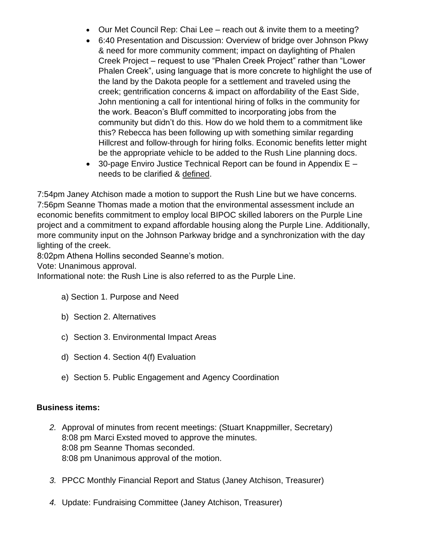- Our Met Council Rep: Chai Lee reach out & invite them to a meeting?
- 6:40 Presentation and Discussion: Overview of bridge over Johnson Pkwy & need for more community comment; impact on daylighting of Phalen Creek Project – request to use "Phalen Creek Project" rather than "Lower Phalen Creek", using language that is more concrete to highlight the use of the land by the Dakota people for a settlement and traveled using the creek; gentrification concerns & impact on affordability of the East Side, John mentioning a call for intentional hiring of folks in the community for the work. Beacon's Bluff committed to incorporating jobs from the community but didn't do this. How do we hold them to a commitment like this? Rebecca has been following up with something similar regarding Hillcrest and follow-through for hiring folks. Economic benefits letter might be the appropriate vehicle to be added to the Rush Line planning docs.
- 30-page Enviro Justice Technical Report can be found in Appendix  $E$ needs to be clarified & defined.

7:54pm Janey Atchison made a motion to support the Rush Line but we have concerns. 7:56pm Seanne Thomas made a motion that the environmental assessment include an economic benefits commitment to employ local BIPOC skilled laborers on the Purple Line project and a commitment to expand affordable housing along the Purple Line. Additionally, more community input on the Johnson Parkway bridge and a synchronization with the day lighting of the creek.

8:02pm Athena Hollins seconded Seanne's motion.

Vote: Unanimous approval.

Informational note: the Rush Line is also referred to as the Purple Line.

- a) Section 1. Purpose and Need
- b) Section 2. Alternatives
- c) Section 3. Environmental Impact Areas
- d) Section 4. Section 4(f) Evaluation
- e) Section 5. Public Engagement and Agency Coordination

# **Business items:**

- *2.* Approval of minutes from recent meetings: (Stuart Knappmiller, Secretary) 8:08 pm Marci Exsted moved to approve the minutes. 8:08 pm Seanne Thomas seconded. 8:08 pm Unanimous approval of the motion.
- *3.* PPCC Monthly Financial Report and Status (Janey Atchison, Treasurer)
- *4.* Update: Fundraising Committee (Janey Atchison, Treasurer)